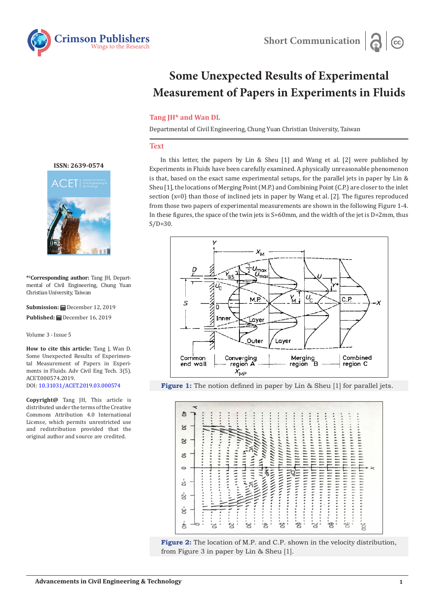

## **Some Unexpected Results of Experimental Measurement of Papers in Experiments in Fluids**

## **Tang JH\* and Wan DL**

Departmental of Civil Engineering, Chung Yuan Christian University, Taiwan

## **Text**

In this letter, the papers by Lin & Sheu [1] and Wang et al. [2] were published by Experiments in Fluids have been carefully examined. A physically unreasonable phenomenon is that, based on the exact same experimental setups, for the parallel jets in paper by Lin & Sheu [1], the locations of Merging Point (M.P.) and Combining Point (C.P.) are closer to the inlet section (x=0) than those of inclined jets in paper by Wang et al. [2]. The figures reproduced from those two papers of experimental measurements are shown in the following Figure 1-4. In these figures, the space of the twin jets is  $S=60$  mm, and the width of the jet is  $D=2$ mm, thus  $S/D=30$ .









**[ISSN: 2639-0574](https://www.crimsonpublishers.com/acet/)**



**\*1 Corresponding author:** Tang JH, Departmental of Civil Engineering, Chung Yuan Christian University, Taiwan

**Submission:** December 12, 2019 **Published:** December 16, 2019

Volume 3 - Issue 5

**How to cite this article:** Tang J, Wan D. Some Unexpected Results of Experimental Measurement of Papers in Experiments in Fluids. Adv Civil Eng Tech. 3(5). ACET.000574.2019. DOI: [10.31031/ACET.2019.03.000](http://dx.doi.org/10.31031/ACET.2019.03.000574)574

**Copyright@** Tang JH, This article is distributed under the terms of the Creative Commons Attribution 4.0 International License, which permits unrestricted use and redistribution provided that the original author and source are credited.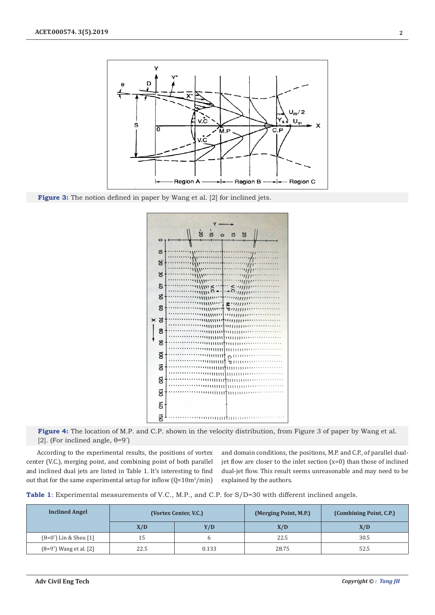

Figure 3: The notion defined in paper by Wang et al. [2] for inclined jets.



**Figure 4:** The location of M.P. and C.P. shown in the velocity distribution, from Figure 3 of paper by Wang et al. [2]. (For inclined angle,  $\theta = 9^\circ$ )

According to the experimental results, the positions of vortex center (V.C.), merging point, and combining point of both parallel and inclined dual jets are listed in Table 1. It's interesting to find out that for the same experimental setup for inflow  $(Q=10m^3/min)$ 

and domain conditions, the positions, M.P. and C.P., of parallel dualjet flow are closer to the inlet section (x=0) than those of inclined dual-jet flow. This result seems unreasonable and may need to be explained by the authors.

|  |  |  |  | Table 1: Experimental measurements of V.C., M.P., and C.P. for S/D=30 with different inclined angels. |
|--|--|--|--|-------------------------------------------------------------------------------------------------------|
|--|--|--|--|-------------------------------------------------------------------------------------------------------|

| <b>Inclined Angel</b>                  | (Vortex Center, V.C.) |       | (Merging Point, M.P.) | (Combining Point, C.P.) |
|----------------------------------------|-----------------------|-------|-----------------------|-------------------------|
|                                        | X/D                   | Y/D   | X/D                   | X/D                     |
| $(\theta=0^\circ)$ Lin & Sheu [1]      | 15                    | h     | 22.5                  | 30.5                    |
| $(\theta = 9^{\circ})$ Wang et al. [2] | 22.5                  | 0.133 | 28.75                 | 52.5                    |